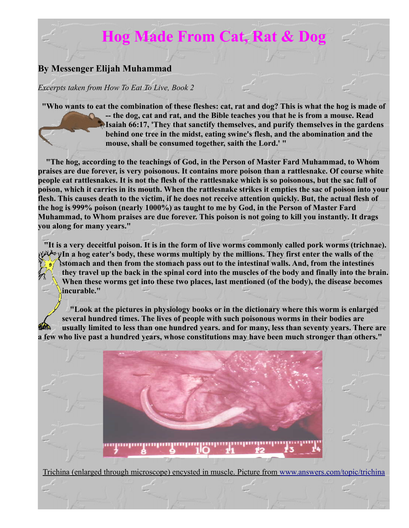## **Hog Made From Cat, Rat & Dog**

## **By Messenger Elijah Muhammad**

## *Excerpts taken from How To Eat To Live, Book 2*

**"Who wants to eat the combination of these fleshes: cat, rat and dog? This is what the hog is made of -- the dog, cat and rat, and the Bible teaches you that he is from a mouse. Read Isaiah 66:17, 'They that sanctify themselves, and purify themselves in the gardens behind one tree in the midst, eating swine's flesh, and the abomination and the mouse, shall be consumed together, saith the Lord.' "** 

**"The hog, according to the teachings of God, in the Person of Master Fard Muhammad, to Whom praises are due forever, is very poisonous. It contains more poison than a rattlesnake. Of course white people eat rattlesnakes. It is not the flesh of the rattlesnake which is so poisonous, but the sac full of poison, which it carries in its mouth. When the rattlesnake strikes it empties the sac of poison into your flesh. This causes death to the victim, if he does not receive attention quickly. But, the actual flesh of the hog is 999% poison (nearly 1000%) as taught to me by God, in the Person of Master Fard Muhammad, to Whom praises are due forever. This poison is not going to kill you instantly. It drags you along for many years."**

**"It is a very deceitful poison. It is in the form of live worms commonly called pork worms (trichnae). In a hog eater's body, these worms multiply by the millions. They first enter the walls of the stomach and then from the stomach pass out to the intestinal walls. And, from the intestines they travel up the back in the spinal cord into the muscles of the body and finally into the brain. When these worms get into these two places, last mentioned (of the body), the disease becomes incurable."**

**"Look at the pictures in physiology books or in the dictionary where this worm is enlarged several hundred times. The lives of people with such poisonous worms in their bodies are usually limited to less than one hundred years. and for many, less than seventy years. There are a few who live past a hundred years, whose constitutions may have been much stronger than others."**



Trichina (enlarged through microscope) encysted in muscle. Picture from [www.answers.com/topic/trichina](http://www.answers.com/topic/trichina)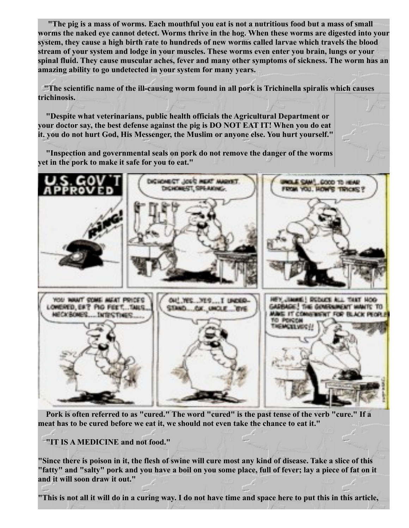**"The pig is a mass of worms. Each mouthful you eat is not a nutritious food but a mass of small worms the naked eye cannot detect. Worms thrive in the hog. When these worms are digested into your system, they cause a high birth rate to hundreds of new worms called larvae which travels the blood stream of your system and lodge in your muscles. These worms even enter you brain, lungs or your spinal fluid. They cause muscular aches, fever and many other symptoms of sickness. The worm has an amazing ability to go undetected in your system for many years.**

**"The scientific name of the ill-causing worm found in all pork is Trichinella spiralis which causes trichinosis.**

**"Despite what veterinarians, public health officials the Agricultural Department or your doctor say, the best defense against the pig is DO NOT EAT IT! When you do eat it. you do not hurt God, His Messenger, the Muslim or anyone else. You hurt yourself."**

**"Inspection and governmental seals on pork do not remove the danger of the worms yet in the pork to make it safe for you to eat."**



**Pork is often referred to as "cured." The word "cured" is the past tense of the verb "cure." If a meat has to be cured before we eat it, we should not even take the chance to eat it."**

**"IT IS A MEDICINE and not food."**

**"Since there is poison in it, the flesh of swine will cure most any kind of disease. Take a slice of this "fatty" and "salty" pork and you have a boil on you some place, full of fever; lay a piece of fat on it and it will soon draw it out."**

**"This is not all it will do in a curing way. I do not have time and space here to put this in this article,**